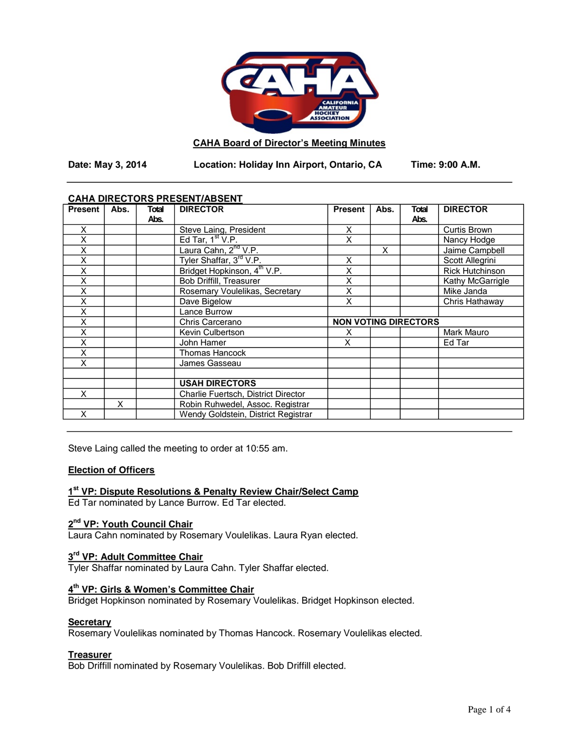

#### **CAHA Board of Director's Meeting Minutes**

**Date: May 3, 2014 Location: Holiday Inn Airport, Ontario, CA Time: 9:00 A.M.**

## **CAHA DIRECTORS PRESENT/ABSENT**

| <b>Present</b> | Abs. | <b>Total</b> | <b>DIRECTOR</b>                         | <b>Present</b>              | Abs. | Total | <b>DIRECTOR</b>        |
|----------------|------|--------------|-----------------------------------------|-----------------------------|------|-------|------------------------|
|                |      | Abs.         |                                         |                             |      | Abs.  |                        |
| X              |      |              | Steve Laing, President                  | X                           |      |       | <b>Curtis Brown</b>    |
| X              |      |              | Ed Tar, $1st V.P.$                      | X                           |      |       | Nancy Hodge            |
| X              |      |              | Laura Cahn, 2 <sup>nd</sup> V.P.        |                             | X    |       | Jaime Campbell         |
| X              |      |              | Tyler Shaffar, 3 <sup>rd</sup> V.P.     | Χ                           |      |       | Scott Allegrini        |
| X              |      |              | Bridget Hopkinson, 4 <sup>th</sup> V.P. | Χ                           |      |       | <b>Rick Hutchinson</b> |
| X              |      |              | Bob Driffill, Treasurer                 | X                           |      |       | Kathy McGarrigle       |
| X              |      |              | Rosemary Voulelikas, Secretary          | Χ                           |      |       | Mike Janda             |
| X              |      |              | Dave Bigelow                            | X                           |      |       | Chris Hathaway         |
| X              |      |              | Lance Burrow                            |                             |      |       |                        |
| X              |      |              | Chris Carcerano                         | <b>NON VOTING DIRECTORS</b> |      |       |                        |
| X              |      |              | Kevin Culbertson                        | х                           |      |       | Mark Mauro             |
| X              |      |              | John Hamer                              | Χ                           |      |       | Ed Tar                 |
| X              |      |              | <b>Thomas Hancock</b>                   |                             |      |       |                        |
| X              |      |              | James Gasseau                           |                             |      |       |                        |
|                |      |              |                                         |                             |      |       |                        |
|                |      |              | <b>USAH DIRECTORS</b>                   |                             |      |       |                        |
| X              |      |              | Charlie Fuertsch, District Director     |                             |      |       |                        |
|                | X    |              | Robin Ruhwedel, Assoc. Registrar        |                             |      |       |                        |
| X              |      |              | Wendy Goldstein, District Registrar     |                             |      |       |                        |

Steve Laing called the meeting to order at 10:55 am.

# **Election of Officers**

# **1st VP: Dispute Resolutions & Penalty Review Chair/Select Camp**

Ed Tar nominated by Lance Burrow. Ed Tar elected.

# **2nd VP: Youth Council Chair**

**Laura Cahn nominated by Rosemary Voulelikas. Laura Ryan elected.** 

# **3rd VP: Adult Committee Chair**

Tyler Shaffar nominated by Laura Cahn. Tyler Shaffar elected.

# **4th VP: Girls & Women's Committee Chair**

Bridget Hopkinson nominated by Rosemary Voulelikas. Bridget Hopkinson elected.

# **Secretary**

Rosemary Voulelikas nominated by Thomas Hancock. Rosemary Voulelikas elected.

# **Treasurer**

Bob Driffill nominated by Rosemary Voulelikas. Bob Driffill elected.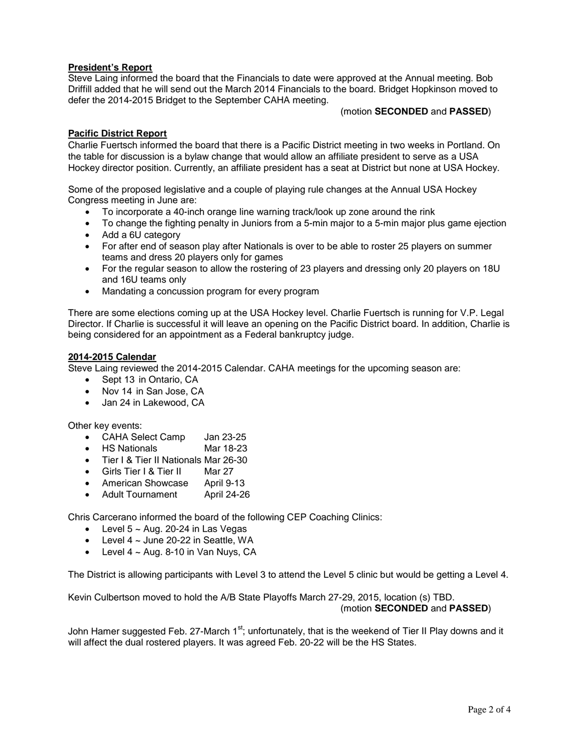# **President's Report**

Steve Laing informed the board that the Financials to date were approved at the Annual meeting. Bob Driffill added that he will send out the March 2014 Financials to the board. Bridget Hopkinson moved to defer the 2014-2015 Bridget to the September CAHA meeting.

#### (motion **SECONDED** and **PASSED**)

# **Pacific District Report**

Charlie Fuertsch informed the board that there is a Pacific District meeting in two weeks in Portland. On the table for discussion is a bylaw change that would allow an affiliate president to serve as a USA Hockey director position. Currently, an affiliate president has a seat at District but none at USA Hockey.

Some of the proposed legislative and a couple of playing rule changes at the Annual USA Hockey Congress meeting in June are:

- To incorporate a 40-inch orange line warning track/look up zone around the rink
- To change the fighting penalty in Juniors from a 5-min major to a 5-min major plus game ejection
- Add a 6U category
- For after end of season play after Nationals is over to be able to roster 25 players on summer teams and dress 20 players only for games
- For the regular season to allow the rostering of 23 players and dressing only 20 players on 18U and 16U teams only
- Mandating a concussion program for every program

There are some elections coming up at the USA Hockey level. Charlie Fuertsch is running for V.P. Legal Director. If Charlie is successful it will leave an opening on the Pacific District board. In addition, Charlie is being considered for an appointment as a Federal bankruptcy judge.

#### **2014-2015 Calendar**

Steve Laing reviewed the 2014-2015 Calendar. CAHA meetings for the upcoming season are:

- Sept 13 in Ontario, CA
- Nov 14 in San Jose, CA
- Jan 24 in Lakewood, CA

Other key events:

- CAHA Select Camp Jan 23-25
- HS Nationals Mar 18-23
- Tier I & Tier II Nationals Mar 26-30
- Girls Tier I & Tier II Mar 27
- American Showcase April 9-13
- Adult Tournament April 24-26

Chris Carcerano informed the board of the following CEP Coaching Clinics:

- Level  $5 \sim$  Aug. 20-24 in Las Vegas
- Level  $4 \sim$  June 20-22 in Seattle, WA
- Level  $4 \sim$  Aug. 8-10 in Van Nuys, CA

The District is allowing participants with Level 3 to attend the Level 5 clinic but would be getting a Level 4.

Kevin Culbertson moved to hold the A/B State Playoffs March 27-29, 2015, location (s) TBD. (motion **SECONDED** and **PASSED**)

John Hamer suggested Feb. 27-March 1<sup>st</sup>; unfortunately, that is the weekend of Tier II Play downs and it will affect the dual rostered players. It was agreed Feb. 20-22 will be the HS States.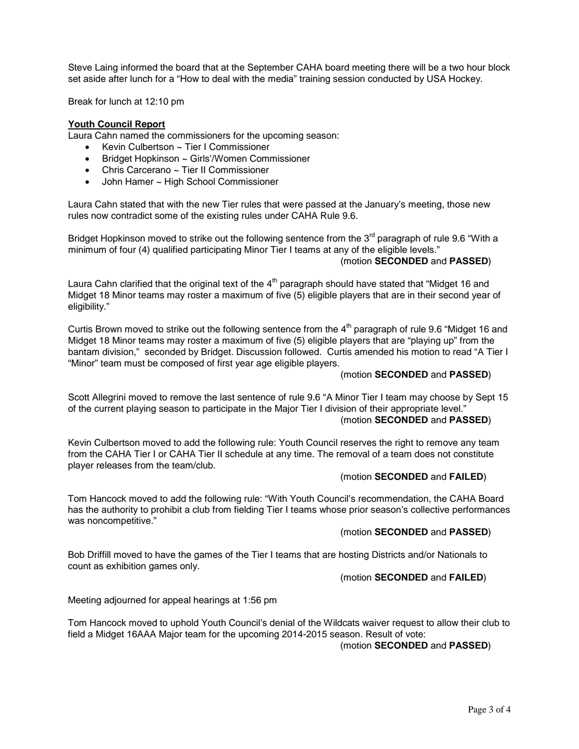Steve Laing informed the board that at the September CAHA board meeting there will be a two hour block set aside after lunch for a "How to deal with the media" training session conducted by USA Hockey.

Break for lunch at 12:10 pm

## **Youth Council Report**

Laura Cahn named the commissioners for the upcoming season:

- Kevin Culbertson ~ Tier I Commissioner
- Bridget Hopkinson ~ Girls'/Women Commissioner
- Chris Carcerano ~ Tier II Commissioner
- John Hamer ~ High School Commissioner

Laura Cahn stated that with the new Tier rules that were passed at the January's meeting, those new rules now contradict some of the existing rules under CAHA Rule 9.6.

Bridget Hopkinson moved to strike out the following sentence from the  $3<sup>rd</sup>$  paragraph of rule 9.6 "With a minimum of four (4) qualified participating Minor Tier I teams at any of the eligible levels." (motion **SECONDED** and **PASSED**)

Laura Cahn clarified that the original text of the  $4<sup>th</sup>$  paragraph should have stated that "Midget 16 and Midget 18 Minor teams may roster a maximum of five (5) eligible players that are in their second year of eligibility."

Curtis Brown moved to strike out the following sentence from the  $4<sup>th</sup>$  paragraph of rule 9.6 "Midget 16 and Midget 18 Minor teams may roster a maximum of five (5) eligible players that are "playing up" from the bantam division," seconded by Bridget. Discussion followed. Curtis amended his motion to read "A Tier I "Minor" team must be composed of first year age eligible players.

## (motion **SECONDED** and **PASSED**)

Scott Allegrini moved to remove the last sentence of rule 9.6 "A Minor Tier I team may choose by Sept 15 of the current playing season to participate in the Major Tier I division of their appropriate level." (motion **SECONDED** and **PASSED**)

Kevin Culbertson moved to add the following rule: Youth Council reserves the right to remove any team from the CAHA Tier I or CAHA Tier II schedule at any time. The removal of a team does not constitute player releases from the team/club.

## (motion **SECONDED** and **FAILED**)

Tom Hancock moved to add the following rule: "With Youth Council's recommendation, the CAHA Board has the authority to prohibit a club from fielding Tier I teams whose prior season's collective performances was noncompetitive."

#### (motion **SECONDED** and **PASSED**)

Bob Driffill moved to have the games of the Tier I teams that are hosting Districts and/or Nationals to count as exhibition games only.

## (motion **SECONDED** and **FAILED**)

Meeting adjourned for appeal hearings at 1:56 pm

Tom Hancock moved to uphold Youth Council's denial of the Wildcats waiver request to allow their club to field a Midget 16AAA Major team for the upcoming 2014-2015 season. Result of vote:

# (motion **SECONDED** and **PASSED**)